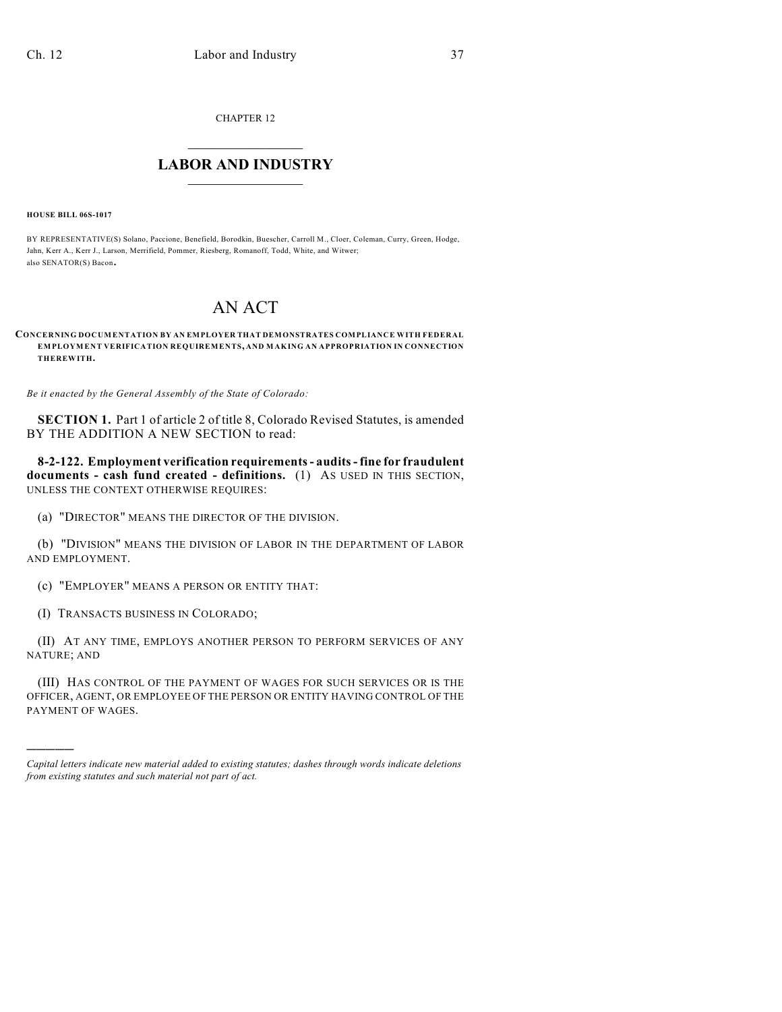CHAPTER 12

## $\mathcal{L}_\text{max}$  . The set of the set of the set of the set of the set of the set of the set of the set of the set of the set of the set of the set of the set of the set of the set of the set of the set of the set of the set **LABOR AND INDUSTRY**  $\frac{1}{\sqrt{2}}$  ,  $\frac{1}{\sqrt{2}}$  ,  $\frac{1}{\sqrt{2}}$  ,  $\frac{1}{\sqrt{2}}$  ,  $\frac{1}{\sqrt{2}}$  ,  $\frac{1}{\sqrt{2}}$

**HOUSE BILL 06S-1017**

)))))

BY REPRESENTATIVE(S) Solano, Paccione, Benefield, Borodkin, Buescher, Carroll M., Cloer, Coleman, Curry, Green, Hodge, Jahn, Kerr A., Kerr J., Larson, Merrifield, Pommer, Riesberg, Romanoff, Todd, White, and Witwer; also SENATOR(S) Bacon.

## AN ACT

## **CONCERNING DOCUMENTATION BY AN EMPLOYER THAT DEMONSTRATES COMPLIANCE WITH FEDERAL EMPLOYMENT VERIFICATION REQUIREMENTS, AND MAKING AN APPROPRIATION IN CONNECTION THEREWITH.**

*Be it enacted by the General Assembly of the State of Colorado:*

**SECTION 1.** Part 1 of article 2 of title 8, Colorado Revised Statutes, is amended BY THE ADDITION A NEW SECTION to read:

**8-2-122. Employment verification requirements - audits - fine for fraudulent documents - cash fund created - definitions.** (1) AS USED IN THIS SECTION, UNLESS THE CONTEXT OTHERWISE REQUIRES:

(a) "DIRECTOR" MEANS THE DIRECTOR OF THE DIVISION.

(b) "DIVISION" MEANS THE DIVISION OF LABOR IN THE DEPARTMENT OF LABOR AND EMPLOYMENT.

(c) "EMPLOYER" MEANS A PERSON OR ENTITY THAT:

(I) TRANSACTS BUSINESS IN COLORADO;

(II) AT ANY TIME, EMPLOYS ANOTHER PERSON TO PERFORM SERVICES OF ANY NATURE; AND

(III) HAS CONTROL OF THE PAYMENT OF WAGES FOR SUCH SERVICES OR IS THE OFFICER, AGENT, OR EMPLOYEE OF THE PERSON OR ENTITY HAVING CONTROL OF THE PAYMENT OF WAGES.

*Capital letters indicate new material added to existing statutes; dashes through words indicate deletions from existing statutes and such material not part of act.*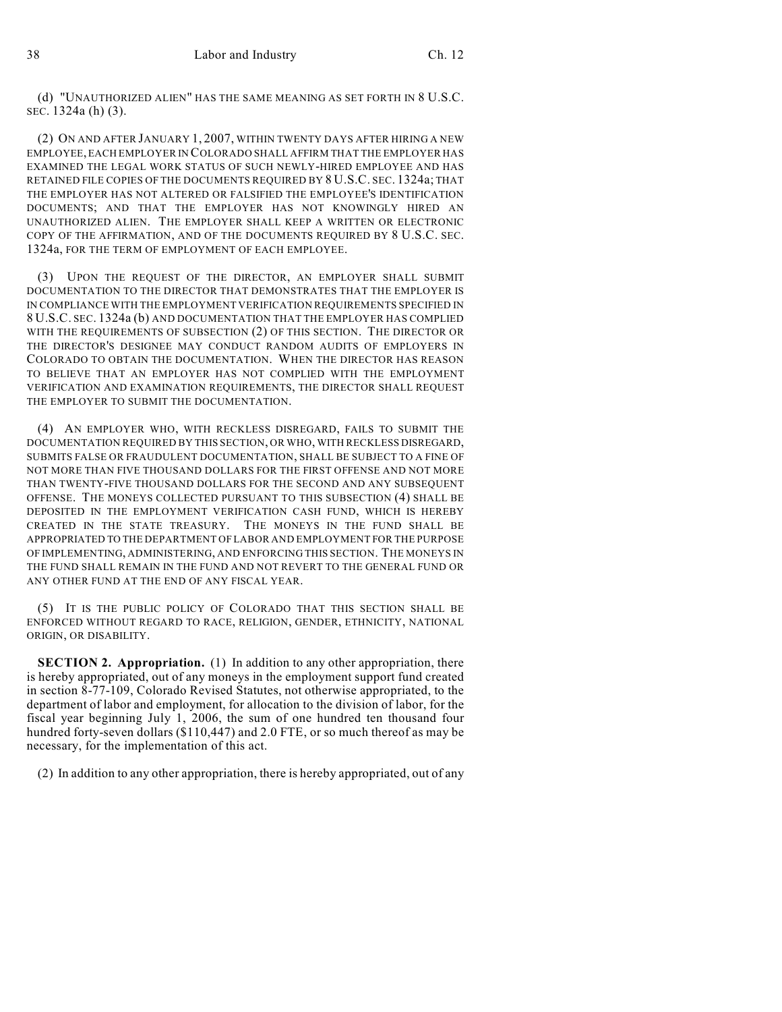(d) "UNAUTHORIZED ALIEN" HAS THE SAME MEANING AS SET FORTH IN 8 U.S.C. SEC. 1324a (h) (3).

(2) ON AND AFTER JANUARY 1, 2007, WITHIN TWENTY DAYS AFTER HIRING A NEW EMPLOYEE, EACH EMPLOYER IN COLORADO SHALL AFFIRM THAT THE EMPLOYER HAS EXAMINED THE LEGAL WORK STATUS OF SUCH NEWLY-HIRED EMPLOYEE AND HAS RETAINED FILE COPIES OF THE DOCUMENTS REQUIRED BY 8 U.S.C. SEC. 1324a; THAT THE EMPLOYER HAS NOT ALTERED OR FALSIFIED THE EMPLOYEE'S IDENTIFICATION DOCUMENTS; AND THAT THE EMPLOYER HAS NOT KNOWINGLY HIRED AN UNAUTHORIZED ALIEN. THE EMPLOYER SHALL KEEP A WRITTEN OR ELECTRONIC COPY OF THE AFFIRMATION, AND OF THE DOCUMENTS REQUIRED BY 8 U.S.C. SEC. 1324a, FOR THE TERM OF EMPLOYMENT OF EACH EMPLOYEE.

(3) UPON THE REQUEST OF THE DIRECTOR, AN EMPLOYER SHALL SUBMIT DOCUMENTATION TO THE DIRECTOR THAT DEMONSTRATES THAT THE EMPLOYER IS IN COMPLIANCE WITH THE EMPLOYMENT VERIFICATION REQUIREMENTS SPECIFIED IN 8 U.S.C. SEC. 1324a (b) AND DOCUMENTATION THAT THE EMPLOYER HAS COMPLIED WITH THE REQUIREMENTS OF SUBSECTION (2) OF THIS SECTION. THE DIRECTOR OR THE DIRECTOR'S DESIGNEE MAY CONDUCT RANDOM AUDITS OF EMPLOYERS IN COLORADO TO OBTAIN THE DOCUMENTATION. WHEN THE DIRECTOR HAS REASON TO BELIEVE THAT AN EMPLOYER HAS NOT COMPLIED WITH THE EMPLOYMENT VERIFICATION AND EXAMINATION REQUIREMENTS, THE DIRECTOR SHALL REQUEST THE EMPLOYER TO SUBMIT THE DOCUMENTATION.

(4) AN EMPLOYER WHO, WITH RECKLESS DISREGARD, FAILS TO SUBMIT THE DOCUMENTATION REQUIRED BY THIS SECTION, OR WHO, WITH RECKLESS DISREGARD, SUBMITS FALSE OR FRAUDULENT DOCUMENTATION, SHALL BE SUBJECT TO A FINE OF NOT MORE THAN FIVE THOUSAND DOLLARS FOR THE FIRST OFFENSE AND NOT MORE THAN TWENTY-FIVE THOUSAND DOLLARS FOR THE SECOND AND ANY SUBSEQUENT OFFENSE. THE MONEYS COLLECTED PURSUANT TO THIS SUBSECTION (4) SHALL BE DEPOSITED IN THE EMPLOYMENT VERIFICATION CASH FUND, WHICH IS HEREBY CREATED IN THE STATE TREASURY. THE MONEYS IN THE FUND SHALL BE APPROPRIATED TO THE DEPARTMENT OF LABOR AND EMPLOYMENT FOR THE PURPOSE OF IMPLEMENTING, ADMINISTERING, AND ENFORCING THIS SECTION. THE MONEYS IN THE FUND SHALL REMAIN IN THE FUND AND NOT REVERT TO THE GENERAL FUND OR ANY OTHER FUND AT THE END OF ANY FISCAL YEAR.

(5) IT IS THE PUBLIC POLICY OF COLORADO THAT THIS SECTION SHALL BE ENFORCED WITHOUT REGARD TO RACE, RELIGION, GENDER, ETHNICITY, NATIONAL ORIGIN, OR DISABILITY.

**SECTION 2. Appropriation.** (1) In addition to any other appropriation, there is hereby appropriated, out of any moneys in the employment support fund created in section 8-77-109, Colorado Revised Statutes, not otherwise appropriated, to the department of labor and employment, for allocation to the division of labor, for the fiscal year beginning July 1, 2006, the sum of one hundred ten thousand four hundred forty-seven dollars (\$110,447) and 2.0 FTE, or so much thereof as may be necessary, for the implementation of this act.

(2) In addition to any other appropriation, there is hereby appropriated, out of any